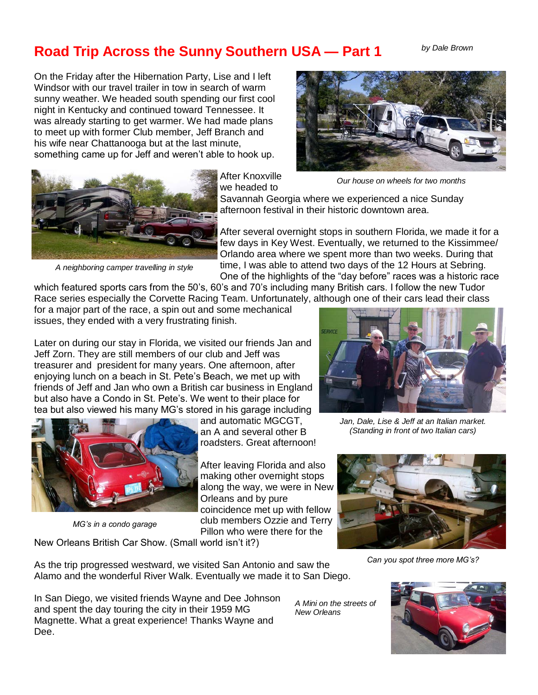## **Road Trip Across the Sunny Southern USA — Part 1**

*by Dale Brown* 

On the Friday after the Hibernation Party, Lise and I left Windsor with our travel trailer in tow in search of warm sunny weather. We headed south spending our first cool night in Kentucky and continued toward Tennessee. It was already starting to get warmer. We had made plans to meet up with former Club member, Jeff Branch and his wife near Chattanooga but at the last minute, something came up for Jeff and weren't able to hook up.



*Our house on wheels for two months* 



After Knoxville we headed to

Savannah Georgia where we experienced a nice Sunday afternoon festival in their historic downtown area.

After several overnight stops in southern Florida, we made it for a few days in Key West. Eventually, we returned to the Kissimmee/ Orlando area where we spent more than two weeks. During that

*A neighboring camper travelling in style* 

time, I was able to attend two days of the 12 Hours at Sebring. One of the highlights of the "day before" races was a historic race

which featured sports cars from the 50's, 60's and 70's including many British cars. I follow the new Tudor Race series especially the Corvette Racing Team. Unfortunately, although one of their cars lead their class

for a major part of the race, a spin out and some mechanical issues, they ended with a very frustrating finish.

Later on during our stay in Florida, we visited our friends Jan and Jeff Zorn. They are still members of our club and Jeff was treasurer and president for many years. One afternoon, after enjoying lunch on a beach in St. Pete's Beach, we met up with friends of Jeff and Jan who own a British car business in England but also have a Condo in St. Pete's. We went to their place for tea but also viewed his many MG's stored in his garage including



*MG's in a condo garage*

and automatic MGCGT, an A and several other B roadsters. Great afternoon!

After leaving Florida and also making other overnight stops along the way, we were in New Orleans and by pure coincidence met up with fellow club members Ozzie and Terry Pillon who were there for the



*Jan, Dale, Lise & Jeff at an Italian market. (Standing in front of two Italian cars)* 



*Can you spot three more MG's?*

In San Diego, we visited friends Wayne and Dee Johnson and spent the day touring the city in their 1959 MG Magnette. What a great experience! Thanks Wayne and Dee.

As the trip progressed westward, we visited San Antonio and saw the Alamo and the wonderful River Walk. Eventually we made it to San Diego.

New Orleans British Car Show. (Small world isn't it?)

*A Mini on the streets of New Orleans* 

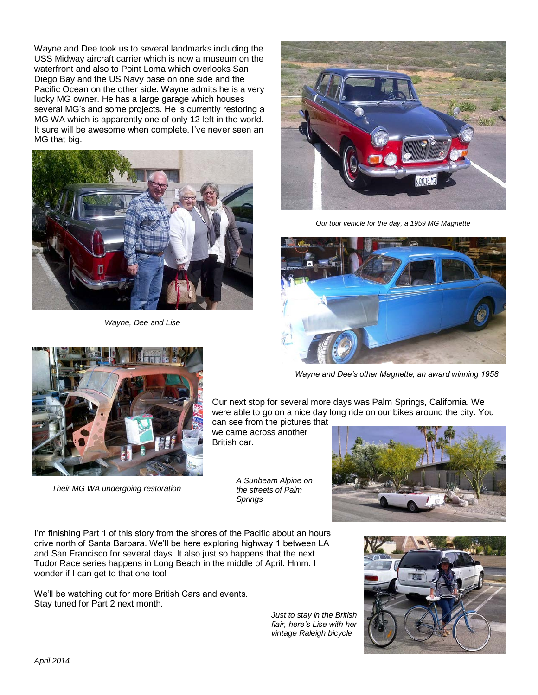Wayne and Dee took us to several landmarks including the USS Midway aircraft carrier which is now a museum on the waterfront and also to Point Loma which overlooks San Diego Bay and the US Navy base on one side and the Pacific Ocean on the other side. Wayne admits he is a very lucky MG owner. He has a large garage which houses several MG's and some projects. He is currently restoring a MG WA which is apparently one of only 12 left in the world. It sure will be awesome when complete. I've never seen an MG that big.



*Wayne, Dee and Lise* 



*Our tour vehicle for the day, a 1959 MG Magnette* 



*Wayne and Dee's other Magnette, an award winning 1958*

Our next stop for several more days was Palm Springs, California. We were able to go on a nice day long ride on our bikes around the city. You

can see from the pictures that we came across another British car.

*Springs* 

*A Sunbeam Alpine on the streets of Palm* 



I'm finishing Part 1 of this story from the shores of the Pacific about an hours drive north of Santa Barbara. We'll be here exploring highway 1 between LA and San Francisco for several days. It also just so happens that the next Tudor Race series happens in Long Beach in the middle of April. Hmm. I wonder if I can get to that one too!

We'll be watching out for more British Cars and events. Stay tuned for Part 2 next month.

*Their MG WA undergoing restoration* 

*Just to stay in the British flair, here's Lise with her vintage Raleigh bicycle* 



*April 2014* 5 *The Can-Am Connection*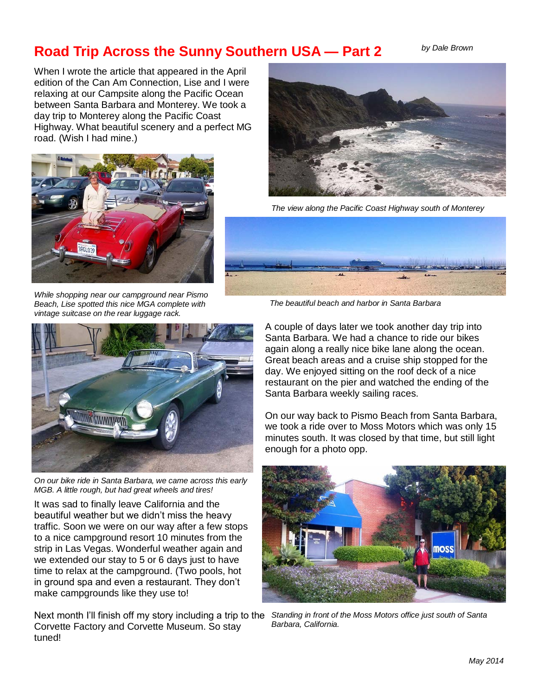## **Road Trip Across the Sunny Southern USA — Part 2** *by Dale Brown*

When I wrote the article that appeared in the April edition of the Can Am Connection, Lise and I were relaxing at our Campsite along the Pacific Ocean between Santa Barbara and Monterey. We took a day trip to Monterey along the Pacific Coast Highway. What beautiful scenery and a perfect MG road. (Wish I had mine.)



*While shopping near our campground near Pismo Beach, Lise spotted this nice MGA complete with vintage suitcase on the rear luggage rack.* 



*On our bike ride in Santa Barbara, we came across this early MGB. A little rough, but had great wheels and tires!* 

It was sad to finally leave California and the beautiful weather but we didn't miss the heavy traffic. Soon we were on our way after a few stops to a nice campground resort 10 minutes from the strip in Las Vegas. Wonderful weather again and we extended our stay to 5 or 6 days just to have time to relax at the campground. (Two pools, hot in ground spa and even a restaurant. They don't make campgrounds like they use to!

Next month I'll finish off my story including a trip to the *Standing in front of the Moss Motors office just south of Santa*  Corvette Factory and Corvette Museum. So stay tuned!



*The view along the Pacific Coast Highway south of Monterey* 



 *The beautiful beach and harbor in Santa Barbara* 

A couple of days later we took another day trip into Santa Barbara. We had a chance to ride our bikes again along a really nice bike lane along the ocean. Great beach areas and a cruise ship stopped for the day. We enjoyed sitting on the roof deck of a nice restaurant on the pier and watched the ending of the Santa Barbara weekly sailing races.

On our way back to Pismo Beach from Santa Barbara, we took a ride over to Moss Motors which was only 15 minutes south. It was closed by that time, but still light enough for a photo opp.



*Barbara, California.*